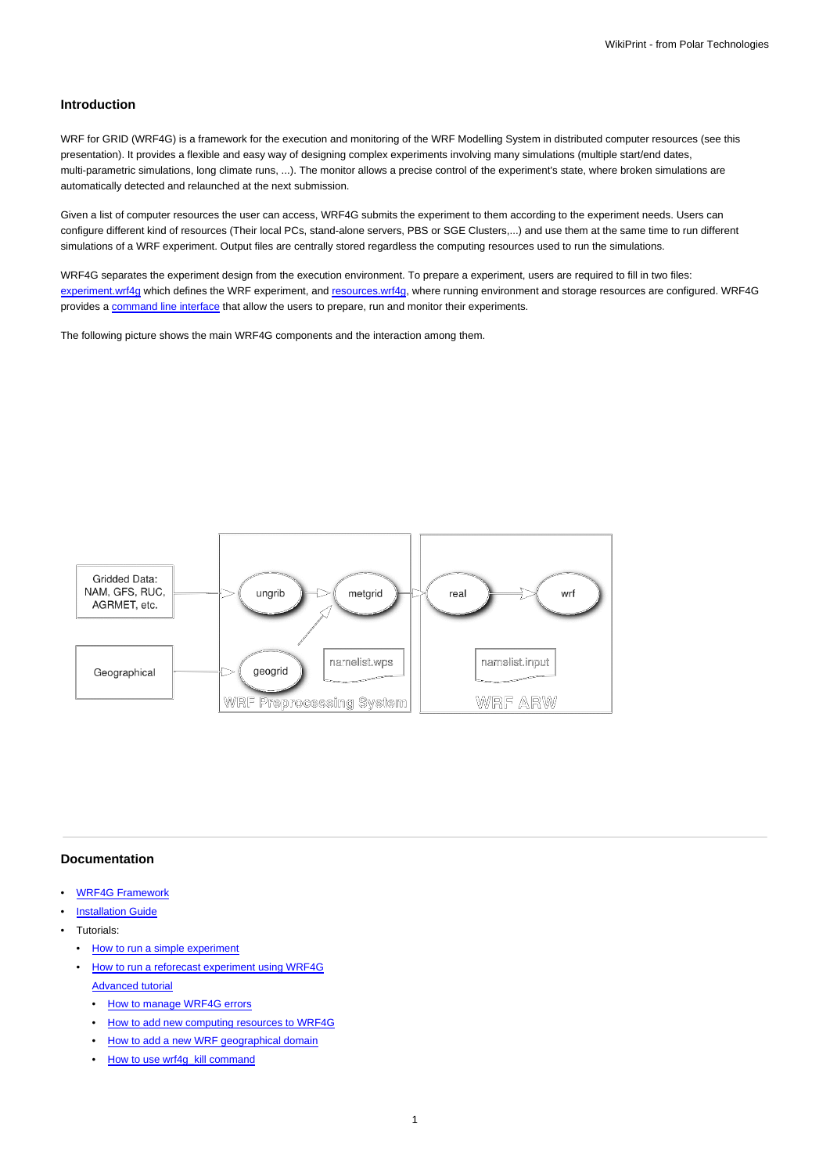## **Introduction**

WRF for GRID (WRF4G) is a framework for the execution and monitoring of the WRF Modelling System in distributed computer resources (see this presentation). It provides a flexible and easy way of designing complex experiments involving many simulations (multiple start/end dates, multi-parametric simulations, long climate runs, ...). The monitor allows a precise control of the experiment's state, where broken simulations are automatically detected and relaunched at the next submission.

Given a list of computer resources the user can access, WRF4G submits the experiment to them according to the experiment needs. Users can configure different kind of resources (Their local PCs, stand-alone servers, PBS or SGE Clusters,...) and use them at the same time to run different simulations of a WRF experiment. Output files are centrally stored regardless the computing resources used to run the simulations.

WRF4G separates the experiment design from the execution environment. To prepare a experiment, users are required to fill in two files: [experiment.wrf4g](https://meteo.unican.es/trac/wiki/WRF4Gexperiment_wrf4g) which defines the WRF experiment, and [resources.wrf4g,](https://meteo.unican.es/trac/wiki/WRF4Gresources_wrf4g) where running environment and storage resources are configured. WRF4G provides a [command line interface](https://meteo.unican.es/trac/wiki/WRF4GCommandLineInterface) that allow the users to prepare, run and monitor their experiments.

The following picture shows the main WRF4G components and the interaction among them.



## **Documentation**

- [WRF4G Framework](https://meteo.unican.es/trac/wiki/WRF4GFrameworkConfiguration)
- **[Installation Guide](https://meteo.unican.es/trac/wiki/WRF4GInstall)**
- Tutorials:
	- [How to run a simple experiment](https://meteo.unican.es/trac/wiki/WRF4GTutorial)
	- [How to run a reforecast experiment using WRF4G](https://meteo.unican.es/trac/wiki/WRF4GWRFReforecast) [Advanced tutorial](https://meteo.unican.es/trac/wiki/WRF4GTutorial2)
		- [How to manage WRF4G errors](https://meteo.unican.es/trac/wiki/WRF4GTutorial2#HowtomanageWRF4Gerrors)
		- [How to add new computing resources to WRF4G](https://meteo.unican.es/trac/wiki/WRF4GTutorial2#HowtoaddnewcomputingresourcestoWRF4G)
		- [How to add a new WRF geographical domain](https://meteo.unican.es/trac/wiki/WRF4GTutorial2#HowtoaddanewWRFgeographicaldomain)
		- [How to use wrf4g\\_kill command](https://meteo.unican.es/trac/wiki/WRF4GTutorial2#Howtousewrf4g_killcommand)